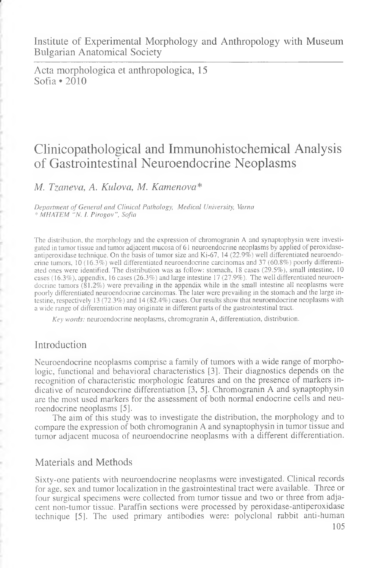Institute of Experimental Morphology and Anthropology with Museum Bulgarian Anatomical Society

Acta morphologica et anthropologica, 15 Sofia \*2010

# Clinicopathological and Immunohistochemical Analysis of Gastrointestinal Neuroendocrine Neoplasms

*M. Tzaneva, A. Kulova, M. Kamenova\**

*Department of General and Clinical Pathology, Medical University, Varna* \* *MHATEM "N.* /. *Pirogov", Sofia*

The distribution, the morphology and the expression of chromogranin A and synaptophysin were investigated in tumor tissue and tumor adjacent mucosa of 61 neuroendocrine neoplasms by applied of peroxidaseantiperoxidase technique. On the basis of tumor size and Ki-67, 14 (22.9%) well differentiated neuroendocrine tumors, 10 (16.3%) well differentiated neuroendocrine carcinomas and 37 (60.8%) poorly differentiated ones were identified. The distribution was as follow: stomach, 18 cases (29.5%), small intestine, 10 cases (16.3%), appendix, 16 cases (26.3%) and large intestine 17 (27.9%). The well differentiated neuroendocrine tumors (81.2%) were prevailing in the appendix while in the small intestine all neoplasms were poorly differentiated neuroendocrine carcinomas. The later were prevailing in the stomach and the large intestine, respectively 13 (72.3%) and 14 (82.4%) cases. Our results show that neuroendocrine neoplasms with a wide range of differentiation may originate in different parts of the gastrointestinal tract.

*Key words:* neuroendocrine neoplasms, chromogranin A, differentiation, distribution.

# Introduction

Neuroendocrine neoplasms comprise a family of tumors with a wide range of morphologic, functional and behavioral characteristics [3]. Their diagnostics depends on the recognition of characteristic morphologic features and on the presence of markers indicative of neuroendocrine differentiation [3, 5]. Chromogranin A and synaptophysin are the most used markers for the assessment of both normal endocrine cells and neuroendocrine neoplasms [5].

The aim of this study was to investigate the distribution, the morphology and to compare the expression of both chromogranin A and synaptophysin in tumor tissue and tumor adjacent mucosa of neuroendocrine neoplasms with a different differentiation.

# Materials and Methods

Sixty-one patients with neuroendocrine neoplasms were investigated. Clinical records for age, sex and tumor localization in the gastrointestinal tract were available. Three or four surgical specimens were collected from tumor tissue and two or three from adjacent non-tumor tissue. Paraffin sections were processed by peroxidase-antiperoxidase technique [5]. The used primary antibodies were: polyclonal rabbit anti-human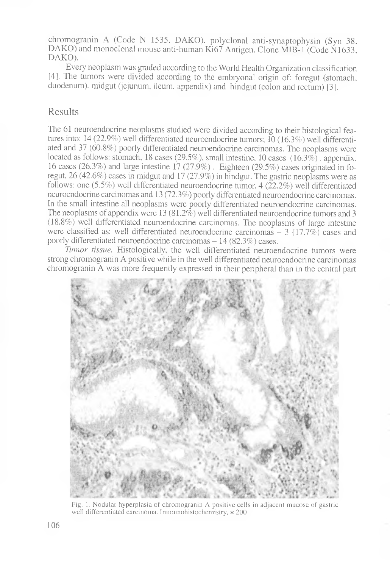chromogranin A (Code N 1535, DAKO), polyclonal anti-synaptophysin (Syn 38, DAKO) and monoclonal mouse anti-human Ki67 Antigen, Clone MIB-1 (Code N1633, DAKO).

Every neoplasm was graded according to the World Health Organization classification [4]. The tumors were divided according to the embryonal origin of: foregut (stomach, duodenum), midgut (jejunum, ileum, appendix) and hindgut (colon and rectum) [3].

# Results

The 61 neuroendocrine neoplasms studied were divided according to their histological features into: 14 (22.9%) well differentiated neuroendocrine tumors; 10 (16.3%) well differentiated and 37 (60.8%) poorly differentiated neuroendocrine carcinomas. The neoplasms were located as follows: stomach, 18 cases (29.5%), small intestine, 10 cases (16.3%), appendix, 16 cases (26.3%) and large intestine 17 (27.9%). Eighteen (29.5%) cases originated in foregut, 26 (42.6%) cases in midgut and 17 (27.9%) in hindgut. The gastric neoplasms were as follows: one  $(5.5\%)$  well differentiated neuroendocrine tumor, 4 ( $22.2\%$ ) well differentiated neuroendocrine carcinomas and 13 (72.3%) poorly differentiated neuroendocrine carcinomas. In the small intestine all neoplasms were poorly differentiated neuroendocrine carcinomas. The neoplasms of appendix were 13 (81.2%) well differentiated neuroendocrine tumors and 3 (18.8%) well differentiated neuroendocrine carcinomas. The neoplasms of large intestine were classified as: well differentiated neuroendocrine carcinomas  $-3$  (17.7%) cases and poorly differentiated neuroendocrine carcinomas – 14 (82.3%) cases.

*Tumor tissue.* Histologically, the well differentiated neuroendocrine tumors were strong chromogranin A positive while in the well differentiated neuroendocrine carcinomas chromogranin A was more frequently expressed in their peripheral than in the central part



Fig. 1. Nodular hyperplasia of chromogranin A positive cells in adjacent mucosa of gastric well differentiated carcinoma. Immunohistochemistry,  $\times$  200